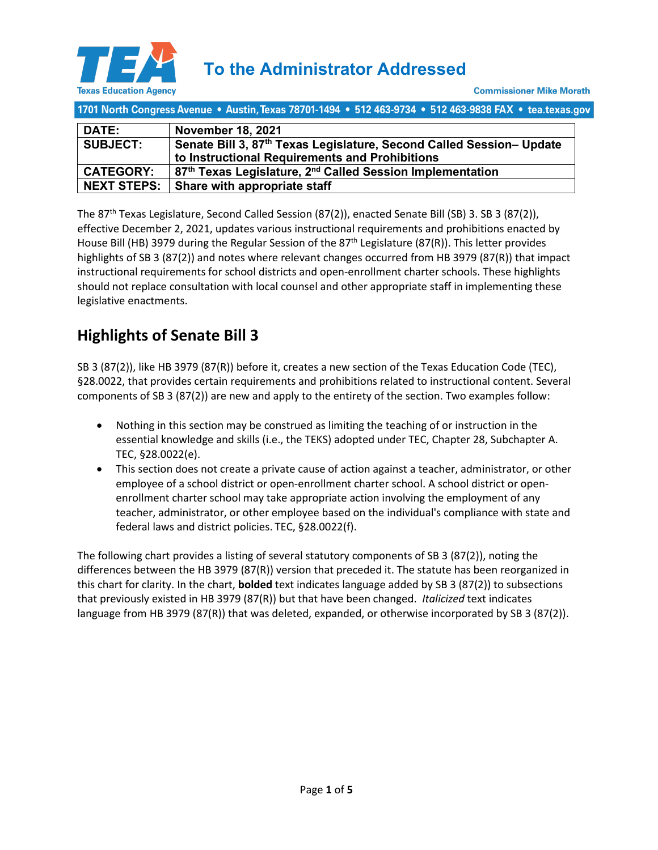

| 1701 North Congress Avenue • Austin, Texas 78701-1494 • 512 463-9734 • 512 463-9838 FAX • tea.texas.gov |                                                                                                                        |  |  |  |
|---------------------------------------------------------------------------------------------------------|------------------------------------------------------------------------------------------------------------------------|--|--|--|
| <b>DATE:</b>                                                                                            | <b>November 18, 2021</b>                                                                                               |  |  |  |
| <b>SUBJECT:</b>                                                                                         | Senate Bill 3, 87th Texas Legislature, Second Called Session- Update<br>to Instructional Requirements and Prohibitions |  |  |  |
| <b>CATEGORY:</b>                                                                                        | 87 <sup>th</sup> Texas Legislature, 2 <sup>nd</sup> Called Session Implementation                                      |  |  |  |
| <b>NEXT STEPS:</b>                                                                                      | Share with appropriate staff                                                                                           |  |  |  |

The 87th Texas Legislature, Second Called Session (87(2)), enacted Senate Bill (SB) 3. SB 3 (87(2)), effective December 2, 2021, updates various instructional requirements and prohibitions enacted by House Bill (HB) 3979 during the Regular Session of the 87<sup>th</sup> Legislature (87(R)). This letter provides highlights of SB 3 (87(2)) and notes where relevant changes occurred from HB 3979 (87(R)) that impact instructional requirements for school districts and open-enrollment charter schools. These highlights should not replace consultation with local counsel and other appropriate staff in implementing these legislative enactments.

## **Highlights of Senate Bill 3**

SB 3 (87(2)), like HB 3979 (87(R)) before it, creates a new section of the Texas Education Code (TEC), §28.0022, that provides certain requirements and prohibitions related to instructional content. Several components of SB 3 (87(2)) are new and apply to the entirety of the section. Two examples follow:

- Nothing in this section may be construed as limiting the teaching of or instruction in the essential knowledge and skills (i.e., the TEKS) adopted under TEC, Chapter 28, Subchapter A. TEC, §28.0022(e).
- This section does not create a private cause of action against a teacher, administrator, or other employee of a school district or open-enrollment charter school. A school district or openenrollment charter school may take appropriate action involving the employment of any teacher, administrator, or other employee based on the individual's compliance with state and federal laws and district policies. TEC, §28.0022(f).

The following chart provides a listing of several statutory components of SB 3 (87(2)), noting the differences between the HB 3979 (87(R)) version that preceded it. The statute has been reorganized in this chart for clarity. In the chart, **bolded** text indicates language added by SB 3 (87(2)) to subsections that previously existed in HB 3979 (87(R)) but that have been changed. *Italicized* text indicates language from HB 3979 (87(R)) that was deleted, expanded, or otherwise incorporated by SB 3 (87(2)).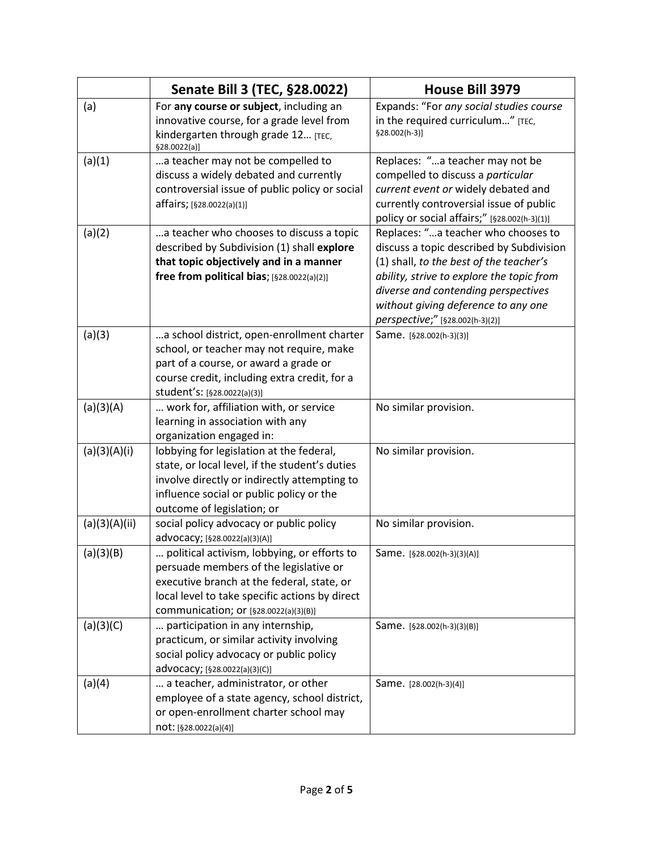|               | Senate Bill 3 (TEC, §28.0022)                                                                                                                                                                                                  | House Bill 3979                                                                                                                                                                                                                                                                          |
|---------------|--------------------------------------------------------------------------------------------------------------------------------------------------------------------------------------------------------------------------------|------------------------------------------------------------------------------------------------------------------------------------------------------------------------------------------------------------------------------------------------------------------------------------------|
| (a)           | For any course or subject, including an<br>innovative course, for a grade level from<br>kindergarten through grade 12 [TEC,<br>\$28.0022(a)]                                                                                   | Expands: "For any social studies course<br>in the required curriculum" [TEC,<br>§28.002(h-3)]                                                                                                                                                                                            |
| (a)(1)        | a teacher may not be compelled to<br>discuss a widely debated and currently<br>controversial issue of public policy or social<br>affairs; [§28.0022(a)(1)]                                                                     | Replaces: "a teacher may not be<br>compelled to discuss a particular<br>current event or widely debated and<br>currently controversial issue of public<br>policy or social affairs;" [§28.002(h-3)(1)]                                                                                   |
| (a)(2)        | a teacher who chooses to discuss a topic<br>described by Subdivision (1) shall explore<br>that topic objectively and in a manner<br>free from political bias; [§28.0022(a)(2)]                                                 | Replaces: "a teacher who chooses to<br>discuss a topic described by Subdivision<br>(1) shall, to the best of the teacher's<br>ability, strive to explore the topic from<br>diverse and contending perspectives<br>without giving deference to any one<br>perspective;" [§28.002(h-3)(2)] |
| (a)(3)        | a school district, open-enrollment charter<br>school, or teacher may not require, make<br>part of a course, or award a grade or<br>course credit, including extra credit, for a<br>student's: [§28.0022(a)(3)]                 | Same. [§28.002(h-3)(3)]                                                                                                                                                                                                                                                                  |
| (a)(3)(A)     | work for, affiliation with, or service<br>learning in association with any<br>organization engaged in:                                                                                                                         | No similar provision.                                                                                                                                                                                                                                                                    |
| (a)(3)(A)(i)  | lobbying for legislation at the federal,<br>state, or local level, if the student's duties<br>involve directly or indirectly attempting to<br>influence social or public policy or the<br>outcome of legislation; or           | No similar provision.                                                                                                                                                                                                                                                                    |
| (a)(3)(A)(ii) | social policy advocacy or public policy<br>advocacy; [§28.0022(a)(3)(A)]                                                                                                                                                       | No similar provision.                                                                                                                                                                                                                                                                    |
| (a)(3)(B)     | political activism, lobbying, or efforts to<br>persuade members of the legislative or<br>executive branch at the federal, state, or<br>local level to take specific actions by direct<br>communication; or [§28.0022(a)(3)(B)] | Same. [§28.002(h-3)(3)(A)]                                                                                                                                                                                                                                                               |
| (a)(3)(C)     | participation in any internship,<br>practicum, or similar activity involving<br>social policy advocacy or public policy<br>advocacy; [§28.0022(a)(3)(C)]                                                                       | Same. [§28.002(h-3)(3)(B)]                                                                                                                                                                                                                                                               |
| (a)(4)        | a teacher, administrator, or other<br>employee of a state agency, school district,<br>or open-enrollment charter school may<br>not: [§28.0022(a)(4)]                                                                           | Same. [28.002(h-3)(4)]                                                                                                                                                                                                                                                                   |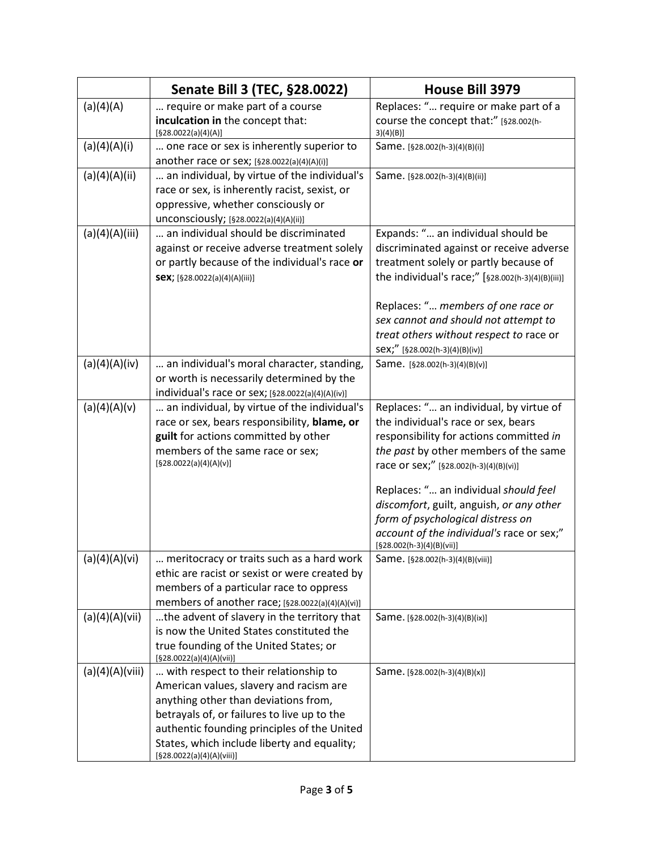|                 | Senate Bill 3 (TEC, §28.0022)                                            | <b>House Bill 3979</b>                                                          |
|-----------------|--------------------------------------------------------------------------|---------------------------------------------------------------------------------|
| (a)(4)(A)       | require or make part of a course                                         | Replaces: " require or make part of a                                           |
|                 | inculcation in the concept that:<br>[§28.0022(a)(4)(A)]                  | course the concept that:" [§28.002(h-<br>3)(4)(B)                               |
| (a)(4)(A)(i)    | one race or sex is inherently superior to                                | Same. [§28.002(h-3)(4)(B)(i)]                                                   |
|                 | another race or sex; [§28.0022(a)(4)(A)(i)]                              |                                                                                 |
| (a)(4)(A)(ii)   | an individual, by virtue of the individual's                             | Same. [§28.002(h-3)(4)(B)(ii)]                                                  |
|                 | race or sex, is inherently racist, sexist, or                            |                                                                                 |
|                 | oppressive, whether consciously or                                       |                                                                                 |
|                 | unconsciously; [§28.0022(a)(4)(A)(ii)]                                   |                                                                                 |
| (a)(4)(A)(iii)  | an individual should be discriminated                                    | Expands: " an individual should be                                              |
|                 | against or receive adverse treatment solely                              | discriminated against or receive adverse                                        |
|                 | or partly because of the individual's race or                            | treatment solely or partly because of                                           |
|                 | Sex; [§28.0022(a)(4)(A)(iii)]                                            | the individual's race;" [§28.002(h-3)(4)(B)(iii)]                               |
|                 |                                                                          | Replaces: " members of one race or                                              |
|                 |                                                                          | sex cannot and should not attempt to                                            |
|                 |                                                                          | treat others without respect to race or                                         |
|                 |                                                                          | Sex;" [§28.002(h-3)(4)(B)(iv)]                                                  |
| (a)(4)(A)(iv)   | an individual's moral character, standing,                               | Same. [§28.002(h-3)(4)(B)(v)]                                                   |
|                 | or worth is necessarily determined by the                                |                                                                                 |
|                 | individual's race or sex; [§28.0022(a)(4)(A)(iv)]                        |                                                                                 |
| (a)(4)(A)(v)    | an individual, by virtue of the individual's                             | Replaces: " an individual, by virtue of                                         |
|                 | race or sex, bears responsibility, blame, or                             | the individual's race or sex, bears                                             |
|                 | guilt for actions committed by other<br>members of the same race or sex; | responsibility for actions committed in                                         |
|                 | [§28.0022(a)(4)(A)(v)]                                                   | the past by other members of the same<br>race or sex;" [§28.002(h-3)(4)(B)(vi)] |
|                 |                                                                          | Replaces: " an individual should feel                                           |
|                 |                                                                          | discomfort, guilt, anguish, or any other                                        |
|                 |                                                                          | form of psychological distress on                                               |
|                 |                                                                          | account of the individual's race or sex;"                                       |
|                 |                                                                          | $[§28.002(h-3)(4)(B)(vii)]$                                                     |
| (a)(4)(A)(vi)   | meritocracy or traits such as a hard work                                | Same. [§28.002(h-3)(4)(B)(viii)]                                                |
|                 | ethic are racist or sexist or were created by                            |                                                                                 |
|                 | members of a particular race to oppress                                  |                                                                                 |
|                 | members of another race; [§28.0022(a)(4)(A)(vi)]                         |                                                                                 |
| (a)(4)(A)(vii)  | the advent of slavery in the territory that                              | Same. [§28.002(h-3)(4)(B)(ix)]                                                  |
|                 | is now the United States constituted the                                 |                                                                                 |
|                 | true founding of the United States; or<br>[§28.0022(a)(4)(A)(vii)]       |                                                                                 |
| (a)(4)(A)(viii) | with respect to their relationship to                                    | Same. [§28.002(h-3)(4)(B)(x)]                                                   |
|                 | American values, slavery and racism are                                  |                                                                                 |
|                 | anything other than deviations from,                                     |                                                                                 |
|                 | betrayals of, or failures to live up to the                              |                                                                                 |
|                 | authentic founding principles of the United                              |                                                                                 |
|                 | States, which include liberty and equality;<br>[§28.0022(a)(4)(A)(viii)] |                                                                                 |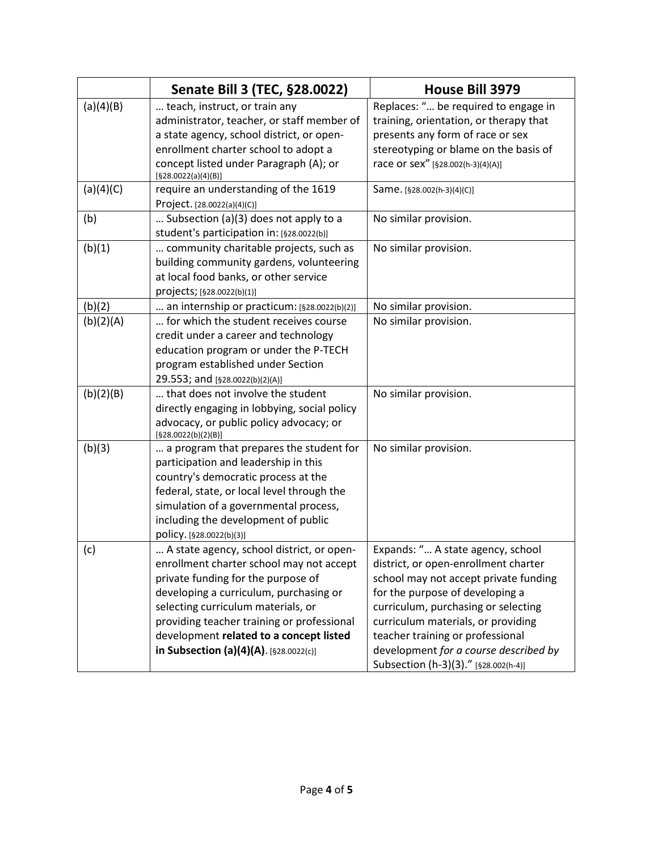| Senate Bill 3 (TEC, §28.0022)<br>House Bill 3979<br>Replaces: " be required to engage in<br>(a)(4)(B)<br>teach, instruct, or train any                          |
|-----------------------------------------------------------------------------------------------------------------------------------------------------------------|
|                                                                                                                                                                 |
|                                                                                                                                                                 |
| administrator, teacher, or staff member of<br>training, orientation, or therapy that                                                                            |
| a state agency, school district, or open-<br>presents any form of race or sex                                                                                   |
| enrollment charter school to adopt a<br>stereotyping or blame on the basis of                                                                                   |
| concept listed under Paragraph (A); or<br>race or sex" [§28.002(h-3)(4)(A)]                                                                                     |
| [§28.0022(a)(4)(B)]<br>(a)(4)(C)<br>require an understanding of the 1619<br>Same. [§28.002(h-3)(4)(C)]                                                          |
| Project. [28.0022(a)(4)(C)]                                                                                                                                     |
| (b)<br>Subsection (a)(3) does not apply to a<br>No similar provision.                                                                                           |
| student's participation in: [§28.0022(b)]                                                                                                                       |
| (b)(1)<br>community charitable projects, such as<br>No similar provision.                                                                                       |
| building community gardens, volunteering                                                                                                                        |
| at local food banks, or other service                                                                                                                           |
| projects; [§28.0022(b)(1)]                                                                                                                                      |
| (b)(2)<br>No similar provision.<br>an internship or practicum: [§28.0022(b)(2)]                                                                                 |
| (b)(2)(A)<br>for which the student receives course<br>No similar provision.                                                                                     |
| credit under a career and technology                                                                                                                            |
| education program or under the P-TECH                                                                                                                           |
| program established under Section                                                                                                                               |
| 29.553; and [§28.0022(b)(2)(A)]                                                                                                                                 |
| (b)(2)(B)<br>that does not involve the student<br>No similar provision.                                                                                         |
| directly engaging in lobbying, social policy                                                                                                                    |
| advocacy, or public policy advocacy; or                                                                                                                         |
| [§28.0022(b)(2)(B)]                                                                                                                                             |
| (b)(3)<br>a program that prepares the student for<br>No similar provision.                                                                                      |
| participation and leadership in this                                                                                                                            |
| country's democratic process at the                                                                                                                             |
| federal, state, or local level through the                                                                                                                      |
| simulation of a governmental process,                                                                                                                           |
| including the development of public                                                                                                                             |
| policy. [§28.0022(b)(3)]                                                                                                                                        |
| Expands: " A state agency, school<br>A state agency, school district, or open-<br>(c)                                                                           |
| enrollment charter school may not accept<br>district, or open-enrollment charter<br>private funding for the purpose of<br>school may not accept private funding |
| developing a curriculum, purchasing or                                                                                                                          |
| for the purpose of developing a<br>selecting curriculum materials, or<br>curriculum, purchasing or selecting                                                    |
| providing teacher training or professional<br>curriculum materials, or providing                                                                                |
| development related to a concept listed<br>teacher training or professional                                                                                     |
| in Subsection (a)(4)(A). [§28.0022(c)]<br>development for a course described by                                                                                 |
| Subsection (h-3)(3)." [§28.002(h-4)]                                                                                                                            |